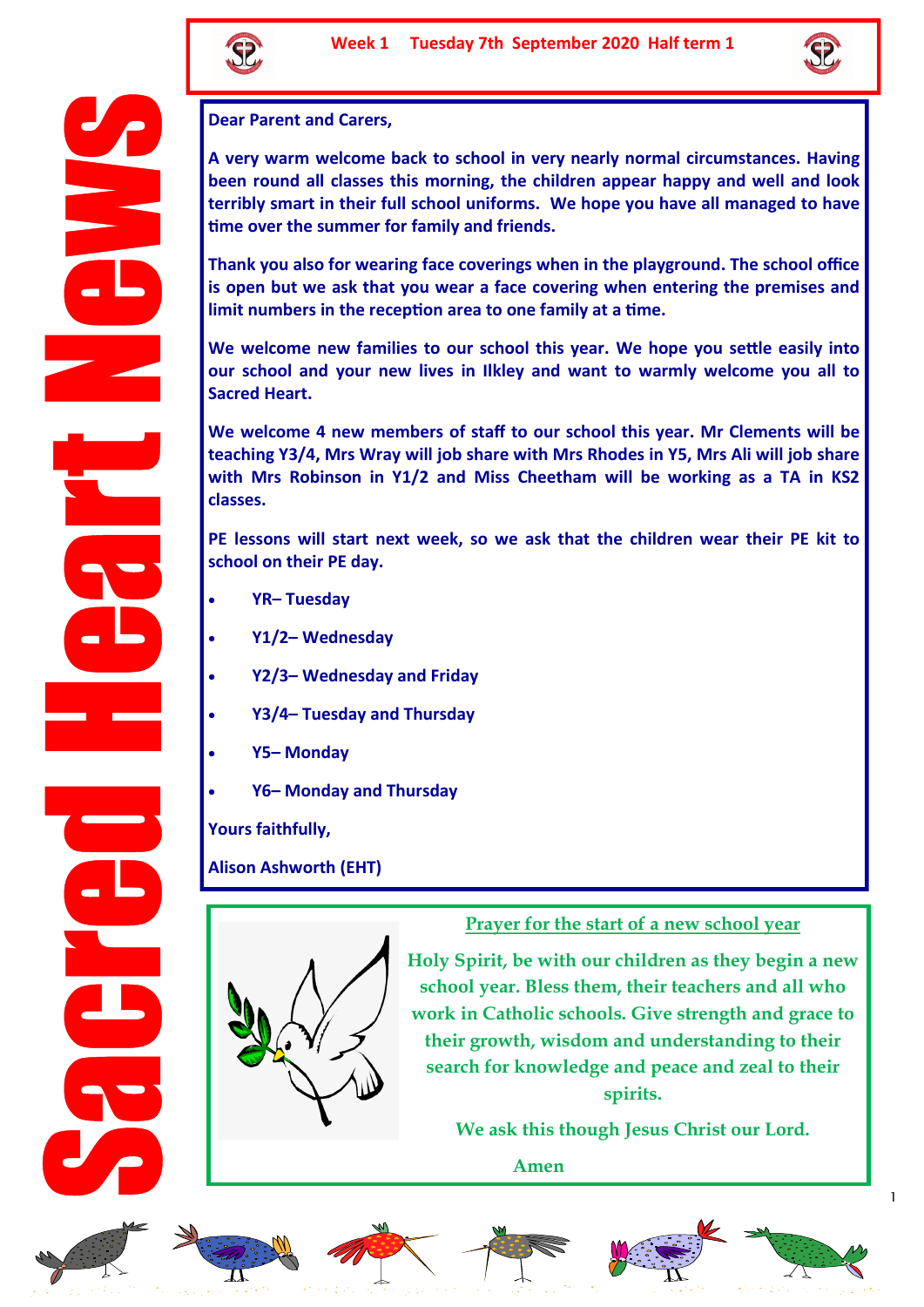



**Dear Parent and Carers,** 

**A very warm welcome back to school in very nearly normal circumstances. Having been round all classes this morning, the children appear happy and well and look terribly smart in their full school uniforms. We hope you have all managed to have time over the summer for family and friends.** 

**Thank you also for wearing face coverings when in the playground. The school office is open but we ask that you wear a face covering when entering the premises and limit numbers in the reception area to one family at a time.** 

**We welcome new families to our school this year. We hope you settle easily into our school and your new lives in Ilkley and want to warmly welcome you all to Sacred Heart.** 

**We welcome 4 new members of staff to our school this year. Mr Clements will be teaching Y3/4, Mrs Wray will job share with Mrs Rhodes in Y5, Mrs Ali will job share with Mrs Robinson in Y1/2 and Miss Cheetham will be working as a TA in KS2 classes.** 

**PE lessons will start next week, so we ask that the children wear their PE kit to school on their PE day.**

- **YR– Tuesday**
- **Y1/2– Wednesday**
- **Y2/3– Wednesday and Friday**
- **Y3/4– Tuesday and Thursday**
- **Y5– Monday**
- **Y6– Monday and Thursday**

**Yours faithfully,**

**Alison Ashworth (EHT)**



**Prayer for the start of a new school year**

**Holy Spirit, be with our children as they begin a new school year. Bless them, their teachers and all who work in Catholic schools. Give strength and grace to their growth, wisdom and understanding to their search for knowledge and peace and zeal to their spirits.**

**We ask this though Jesus Christ our Lord.** 

**Amen**













1